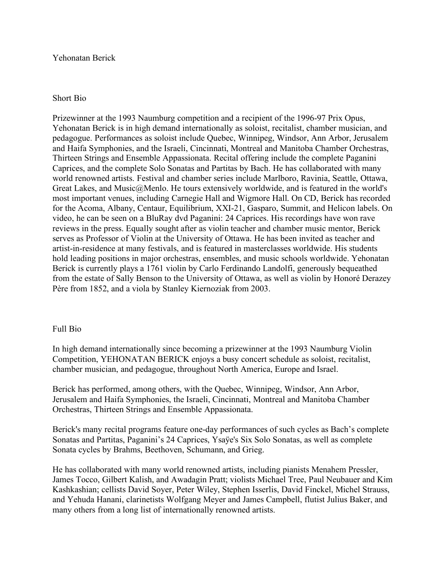## Yehonatan Berick

## Short Bio

Prizewinner at the 1993 Naumburg competition and a recipient of the 1996-97 Prix Opus, Yehonatan Berick is in high demand internationally as soloist, recitalist, chamber musician, and pedagogue. Performances as soloist include Quebec, Winnipeg, Windsor, Ann Arbor, Jerusalem and Haifa Symphonies, and the Israeli, Cincinnati, Montreal and Manitoba Chamber Orchestras, Thirteen Strings and Ensemble Appassionata. Recital offering include the complete Paganini Caprices, and the complete Solo Sonatas and Partitas by Bach. He has collaborated with many world renowned artists. Festival and chamber series include Marlboro, Ravinia, Seattle, Ottawa, Great Lakes, and Music@Menlo. He tours extensively worldwide, and is featured in the world's most important venues, including Carnegie Hall and Wigmore Hall. On CD, Berick has recorded for the Acoma, Albany, Centaur, Equilibrium, XXI-21, Gasparo, Summit, and Helicon labels. On video, he can be seen on a BluRay dvd Paganini: 24 Caprices. His recordings have won rave reviews in the press. Equally sought after as violin teacher and chamber music mentor, Berick serves as Professor of Violin at the University of Ottawa. He has been invited as teacher and artist-in-residence at many festivals, and is featured in masterclasses worldwide. His students hold leading positions in major orchestras, ensembles, and music schools worldwide. Yehonatan Berick is currently plays a 1761 violin by Carlo Ferdinando Landolfi, generously bequeathed from the estate of Sally Benson to the University of Ottawa, as well as violin by Honoré Derazey Père from 1852, and a viola by Stanley Kiernoziak from 2003.

## Full Bio

In high demand internationally since becoming a prizewinner at the 1993 Naumburg Violin Competition, YEHONATAN BERICK enjoys a busy concert schedule as soloist, recitalist, chamber musician, and pedagogue, throughout North America, Europe and Israel.

Berick has performed, among others, with the Quebec, Winnipeg, Windsor, Ann Arbor, Jerusalem and Haifa Symphonies, the Israeli, Cincinnati, Montreal and Manitoba Chamber Orchestras, Thirteen Strings and Ensemble Appassionata.

Berick's many recital programs feature one-day performances of such cycles as Bach's complete Sonatas and Partitas, Paganini's 24 Caprices, Ysaÿe's Six Solo Sonatas, as well as complete Sonata cycles by Brahms, Beethoven, Schumann, and Grieg.

He has collaborated with many world renowned artists, including pianists Menahem Pressler, James Tocco, Gilbert Kalish, and Awadagin Pratt; violists Michael Tree, Paul Neubauer and Kim Kashkashian; cellists David Soyer, Peter Wiley, Stephen Isserlis, David Finckel, Michel Strauss, and Yehuda Hanani, clarinetists Wolfgang Meyer and James Campbell, flutist Julius Baker, and many others from a long list of internationally renowned artists.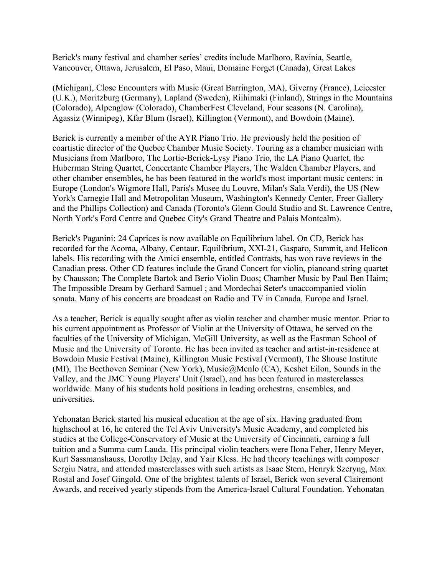Berick's many festival and chamber series' credits include Marlboro, Ravinia, Seattle, Vancouver, Ottawa, Jerusalem, El Paso, Maui, Domaine Forget (Canada), Great Lakes

(Michigan), Close Encounters with Music (Great Barrington, MA), Giverny (France), Leicester (U.K.), Moritzburg (Germany), Lapland (Sweden), Riihimaki (Finland), Strings in the Mountains (Colorado), Alpenglow (Colorado), ChamberFest Cleveland, Four seasons (N. Carolina), Agassiz (Winnipeg), Kfar Blum (Israel), Killington (Vermont), and Bowdoin (Maine).

Berick is currently a member of the AYR Piano Trio. He previously held the position of coartistic director of the Quebec Chamber Music Society. Touring as a chamber musician with Musicians from Marlboro, The Lortie-Berick-Lysy Piano Trio, the LA Piano Quartet, the Huberman String Quartet, Concertante Chamber Players, The Walden Chamber Players, and other chamber ensembles, he has been featured in the world's most important music centers: in Europe (London's Wigmore Hall, Paris's Musee du Louvre, Milan's Sala Verdi), the US (New York's Carnegie Hall and Metropolitan Museum, Washington's Kennedy Center, Freer Gallery and the Phillips Collection) and Canada (Toronto's Glenn Gould Studio and St. Lawrence Centre, North York's Ford Centre and Quebec City's Grand Theatre and Palais Montcalm).

Berick's Paganini: 24 Caprices is now available on Equilibrium label. On CD, Berick has recorded for the Acoma, Albany, Centaur, Equilibrium, XXI-21, Gasparo, Summit, and Helicon labels. His recording with the Amici ensemble, entitled Contrasts, has won rave reviews in the Canadian press. Other CD features include the Grand Concert for violin, pianoand string quartet by Chausson; The Complete Bartok and Berio Violin Duos; Chamber Music by Paul Ben Haim; The Impossible Dream by Gerhard Samuel ; and Mordechai Seter's unaccompanied violin sonata. Many of his concerts are broadcast on Radio and TV in Canada, Europe and Israel.

As a teacher, Berick is equally sought after as violin teacher and chamber music mentor. Prior to his current appointment as Professor of Violin at the University of Ottawa, he served on the faculties of the University of Michigan, McGill University, as well as the Eastman School of Music and the University of Toronto. He has been invited as teacher and artist-in-residence at Bowdoin Music Festival (Maine), Killington Music Festival (Vermont), The Shouse Institute (MI), The Beethoven Seminar (New York), Music@Menlo (CA), Keshet Eilon, Sounds in the Valley, and the JMC Young Players' Unit (Israel), and has been featured in masterclasses worldwide. Many of his students hold positions in leading orchestras, ensembles, and universities.

Yehonatan Berick started his musical education at the age of six. Having graduated from highschool at 16, he entered the Tel Aviv University's Music Academy, and completed his studies at the College-Conservatory of Music at the University of Cincinnati, earning a full tuition and a Summa cum Lauda. His principal violin teachers were Ilona Feher, Henry Meyer, Kurt Sassmanshauss, Dorothy Delay, and Yair Kless. He had theory teachings with composer Sergiu Natra, and attended masterclasses with such artists as Isaac Stern, Henryk Szeryng, Max Rostal and Josef Gingold. One of the brightest talents of Israel, Berick won several Clairemont Awards, and received yearly stipends from the America-Israel Cultural Foundation. Yehonatan